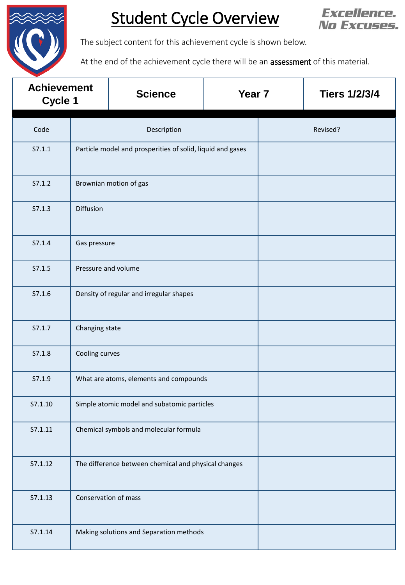

## Student Cycle Overview



The subject content for this achievement cycle is shown below.

At the end of the achievement cycle there will be an **assessment** of this material.

| <b>Achievement</b><br>Cycle 1 |                     | <b>Science</b>                                             | Year <sub>7</sub> |  | <b>Tiers 1/2/3/4</b> |  |
|-------------------------------|---------------------|------------------------------------------------------------|-------------------|--|----------------------|--|
| Code                          |                     | Description                                                | Revised?          |  |                      |  |
| S7.1.1                        |                     | Particle model and prosperities of solid, liquid and gases |                   |  |                      |  |
| S7.1.2                        |                     | Brownian motion of gas                                     |                   |  |                      |  |
| S7.1.3                        | Diffusion           |                                                            |                   |  |                      |  |
| S7.1.4                        | Gas pressure        |                                                            |                   |  |                      |  |
| S7.1.5                        | Pressure and volume |                                                            |                   |  |                      |  |
| S7.1.6                        |                     | Density of regular and irregular shapes                    |                   |  |                      |  |
| S7.1.7                        | Changing state      |                                                            |                   |  |                      |  |
| S7.1.8                        | Cooling curves      |                                                            |                   |  |                      |  |
| S7.1.9                        |                     | What are atoms, elements and compounds                     |                   |  |                      |  |
| S7.1.10                       |                     | Simple atomic model and subatomic particles                |                   |  |                      |  |
| S7.1.11                       |                     | Chemical symbols and molecular formula                     |                   |  |                      |  |
| S7.1.12                       |                     | The difference between chemical and physical changes       |                   |  |                      |  |
| S7.1.13                       |                     | Conservation of mass                                       |                   |  |                      |  |
| S7.1.14                       |                     | Making solutions and Separation methods                    |                   |  |                      |  |